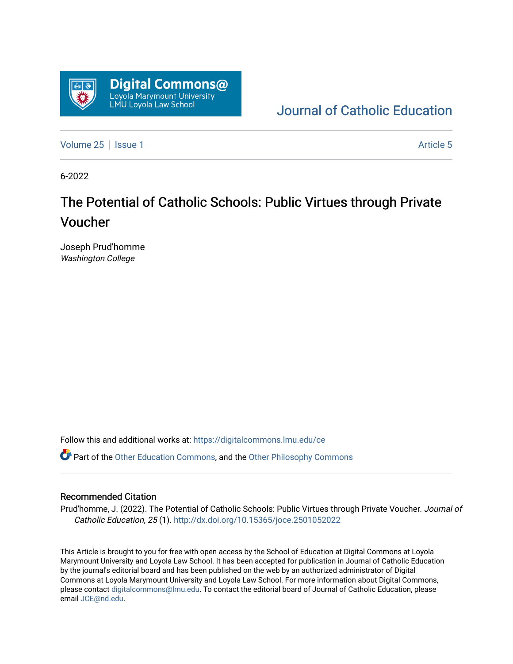

# [Journal of Catholic Education](https://digitalcommons.lmu.edu/ce)

[Volume 25](https://digitalcommons.lmu.edu/ce/vol25) | [Issue 1](https://digitalcommons.lmu.edu/ce/vol25/iss1) [Article 5](https://digitalcommons.lmu.edu/ce/vol25/iss1/5) | Article 5 | Article 5 | Article 5 | Article 5 | Article 5 | Article 5 | Article 5 | Article 5 | Article 5 | Article 5 | Article 5 | Article 5 | Article 5 | Article 5 | Article 5 | Article 5

6-2022

# The Potential of Catholic Schools: Public Virtues through Private Voucher

Joseph Prud'homme Washington College

Follow this and additional works at: [https://digitalcommons.lmu.edu/ce](https://digitalcommons.lmu.edu/ce?utm_source=digitalcommons.lmu.edu%2Fce%2Fvol25%2Fiss1%2F5&utm_medium=PDF&utm_campaign=PDFCoverPages)

Part of the [Other Education Commons,](https://network.bepress.com/hgg/discipline/811?utm_source=digitalcommons.lmu.edu%2Fce%2Fvol25%2Fiss1%2F5&utm_medium=PDF&utm_campaign=PDFCoverPages) and the [Other Philosophy Commons](https://network.bepress.com/hgg/discipline/537?utm_source=digitalcommons.lmu.edu%2Fce%2Fvol25%2Fiss1%2F5&utm_medium=PDF&utm_campaign=PDFCoverPages) 

## Recommended Citation

Prud'homme, J. (2022). The Potential of Catholic Schools: Public Virtues through Private Voucher. Journal of Catholic Education, 25 (1). <http://dx.doi.org/10.15365/joce.2501052022>

This Article is brought to you for free with open access by the School of Education at Digital Commons at Loyola Marymount University and Loyola Law School. It has been accepted for publication in Journal of Catholic Education by the journal's editorial board and has been published on the web by an authorized administrator of Digital Commons at Loyola Marymount University and Loyola Law School. For more information about Digital Commons, please contact [digitalcommons@lmu.edu](mailto:digitalcommons@lmu.edu). To contact the editorial board of Journal of Catholic Education, please email [JCE@nd.edu](mailto:JCE@nd.edu).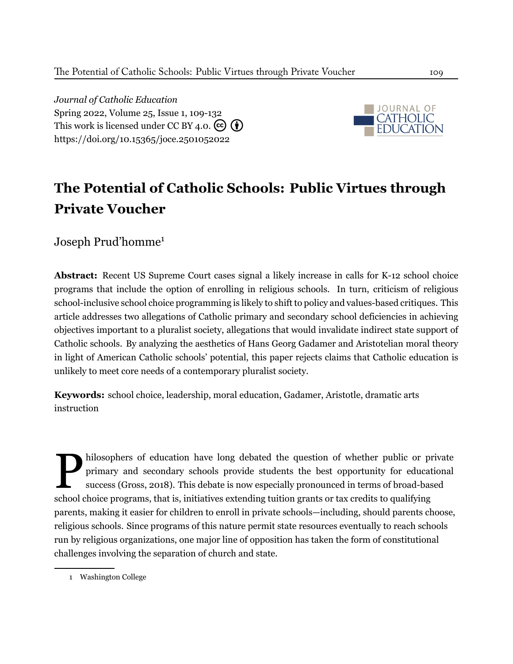*Journal of Catholic Education* Spring 2022, Volume 25, Issue 1, 109[-132](#page-24-0) This work is licensed under CC BY 4.0.  $\left(\overline{\mathbf{e}}\right)\left(\overline{\mathbf{f}}\right)$ <https://doi.org/10.15365/joce.2501052022>



# **The Potential of Catholic Schools: Public Virtues through Private Voucher**

Joseph Prud'homme<sup>1</sup>

**Abstract:** Recent US Supreme Court cases signal a likely increase in calls for K-12 school choice programs that include the option of enrolling in religious schools. In turn, criticism of religious school-inclusive school choice programming is likely to shift to policy and values-based critiques. This article addresses two allegations of Catholic primary and secondary school deficiencies in achieving objectives important to a pluralist society, allegations that would invalidate indirect state support of Catholic schools. By analyzing the aesthetics of Hans Georg Gadamer and Aristotelian moral theory in light of American Catholic schools' potential, this paper rejects claims that Catholic education is unlikely to meet core needs of a contemporary pluralist society.

**Keywords:** school choice, leadership, moral education, Gadamer, Aristotle, dramatic arts instruction

hilosophers of education have long debated the question of whether public or p primary and secondary schools provide students the best opportunity for educa success (Gross, 2018). This debate is now especially pronounced i hilosophers of education have long debated the question of whether public or private primary and secondary schools provide students the best opportunity for educational success (Gross, 2018). This debate is now especially pronounced in terms of broad-based parents, making it easier for children to enroll in private schools—including, should parents choose, religious schools. Since programs of this nature permit state resources eventually to reach schools run by religious organizations, one major line of opposition has taken the form of constitutional challenges involving the separation of church and state.

<sup>1</sup> Washington College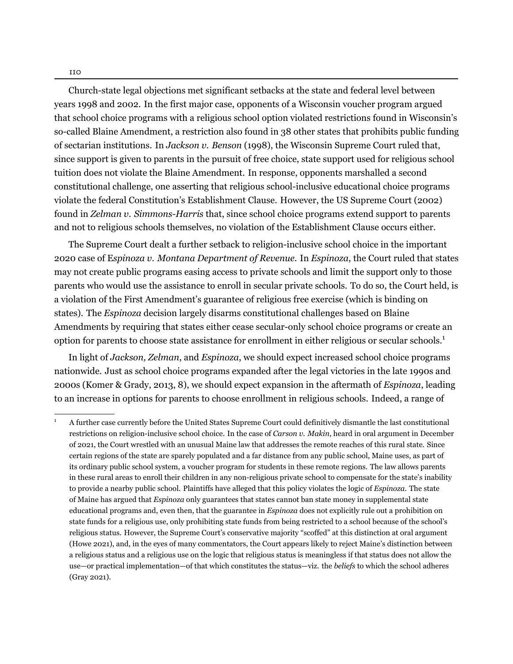Church-state legal objections met significant setbacks at the state and federal level between years 1998 and 2002. In the first major case, opponents of a Wisconsin voucher program argued that school choice programs with a religious school option violated restrictions found in Wisconsin's so-called Blaine Amendment, a restriction also found in 38 other states that prohibits public funding of sectarian institutions. In *Jackson v. Benson* (1998), the Wisconsin Supreme Court ruled that, since support is given to parents in the pursuit of free choice, state support used for religious school tuition does not violate the Blaine Amendment. In response, opponents marshalled a second constitutional challenge, one asserting that religious school-inclusive educational choice programs violate the federal Constitution's Establishment Clause. However, the US Supreme Court (2002) found in *Zelman v. Simmons-Harris* that, since school choice programs extend support to parents and not to religious schools themselves, no violation of the Establishment Clause occurs either.

The Supreme Court dealt a further setback to religion-inclusive school choice in the important 2020 case of E*spinoza v. Montana Department of Revenue.* In *Espinoza*, the Court ruled that states may not create public programs easing access to private schools and limit the support only to those parents who would use the assistance to enroll in secular private schools. To do so, the Court held, is a violation of the First Amendment's guarantee of religious free exercise (which is binding on states). The *Espinoza* decision largely disarms constitutional challenges based on Blaine Amendments by requiring that states either cease secular-only school choice programs or create an option for parents to choose state assistance for enrollment in either religious or secular schools.1

In light of *Jackson, Zelman*, and *Espinoza*, we should expect increased school choice programs nationwide. Just as school choice programs expanded after the legal victories in the late 1990s and 2000s (Komer & Grady, 2013, 8), we should expect expansion in the aftermath of *Espinoza*, leading to an increase in options for parents to choose enrollment in religious schools. Indeed, a range of

<sup>1</sup> A further case currently before the United States Supreme Court could definitively dismantle the last constitutional restrictions on religion-inclusive school choice. In the case of *Carson v. Makin*, heard in oral argument in December of 2021, the Court wrestled with an unusual Maine law that addresses the remote reaches of this rural state. Since certain regions of the state are sparely populated and a far distance from any public school, Maine uses, as part of its ordinary public school system, a voucher program for students in these remote regions. The law allows parents in these rural areas to enroll their children in any non-religious private school to compensate for the state's inability to provide a nearby public school. Plaintiffs have alleged that this policy violates the logic of *Espinoza.* The state of Maine has argued that *Espinoza* only guarantees that states cannot ban state money in supplemental state educational programs and, even then, that the guarantee in *Espinoza* does not explicitly rule out a prohibition on state funds for a religious use, only prohibiting state funds from being restricted to a school because of the school's religious status. However, the Supreme Court's conservative majority "scoffed" at this distinction at oral argument (Howe 2021), and, in the eyes of many commentators, the Court appears likely to reject Maine's distinction between a religious status and a religious use on the logic that religious status is meaningless if that status does not allow the use—or practical implementation—of that which constitutes the status—viz. the *beliefs* to which the school adheres (Gray 2021).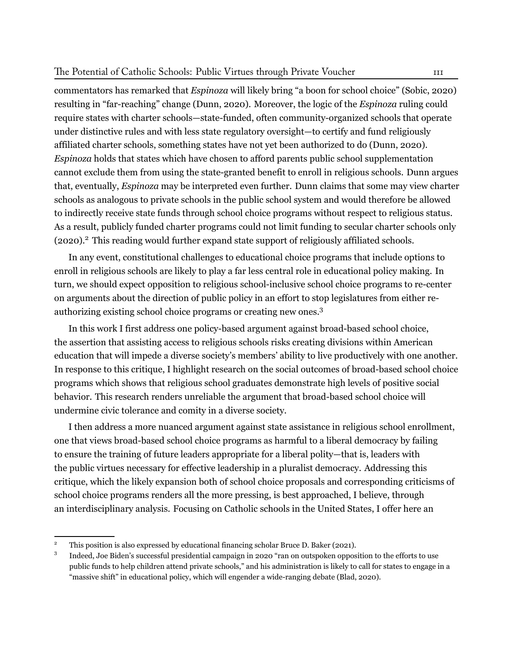commentators has remarked that *Espinoza* will likely bring "a boon for school choice" (Sobic, 2020) resulting in "far-reaching" change (Dunn, 2020). Moreover, the logic of the *Espinoza* ruling could require states with charter schools—state-funded, often community-organized schools that operate under distinctive rules and with less state regulatory oversight—to certify and fund religiously affiliated charter schools, something states have not yet been authorized to do (Dunn, 2020). *Espinoza* holds that states which have chosen to afford parents public school supplementation cannot exclude them from using the state-granted benefit to enroll in religious schools. Dunn argues that, eventually, *Espinoza* may be interpreted even further. Dunn claims that some may view charter schools as analogous to private schools in the public school system and would therefore be allowed to indirectly receive state funds through school choice programs without respect to religious status. As a result, publicly funded charter programs could not limit funding to secular charter schools only (2020).2 This reading would further expand state support of religiously affiliated schools.

In any event, constitutional challenges to educational choice programs that include options to enroll in religious schools are likely to play a far less central role in educational policy making. In turn, we should expect opposition to religious school-inclusive school choice programs to re-center on arguments about the direction of public policy in an effort to stop legislatures from either reauthorizing existing school choice programs or creating new ones.3

In this work I first address one policy-based argument against broad-based school choice, the assertion that assisting access to religious schools risks creating divisions within American education that will impede a diverse society's members' ability to live productively with one another. In response to this critique, I highlight research on the social outcomes of broad-based school choice programs which shows that religious school graduates demonstrate high levels of positive social behavior. This research renders unreliable the argument that broad-based school choice will undermine civic tolerance and comity in a diverse society.

I then address a more nuanced argument against state assistance in religious school enrollment, one that views broad-based school choice programs as harmful to a liberal democracy by failing to ensure the training of future leaders appropriate for a liberal polity—that is, leaders with the public virtues necessary for effective leadership in a pluralist democracy. Addressing this critique, which the likely expansion both of school choice proposals and corresponding criticisms of school choice programs renders all the more pressing, is best approached, I believe, through an interdisciplinary analysis. Focusing on Catholic schools in the United States, I offer here an

<sup>2</sup> This position is also expressed by educational financing scholar Bruce D. Baker (2021).

<sup>3</sup> Indeed, Joe Biden's successful presidential campaign in 2020 "ran on outspoken opposition to the efforts to use public funds to help children attend private schools," and his administration is likely to call for states to engage in a "massive shift" in educational policy, which will engender a wide-ranging debate (Blad, 2020).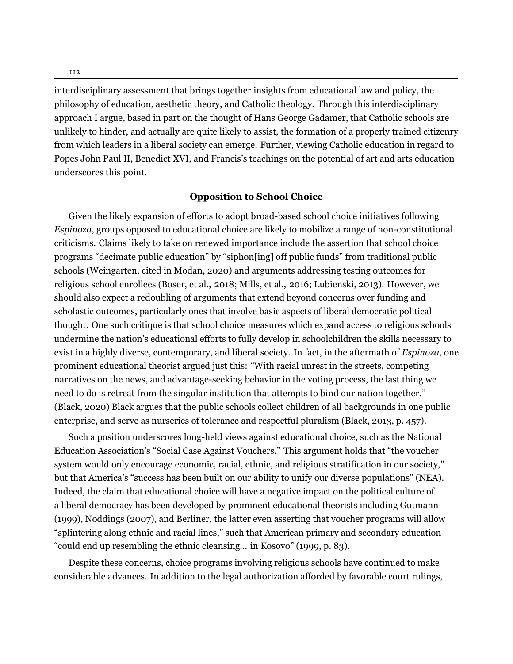interdisciplinary assessment that brings together insights from educational law and policy, the philosophy of education, aesthetic theory, and Catholic theology. Through this interdisciplinary approach I argue, based in part on the thought of Hans George Gadamer, that Catholic schools are unlikely to hinder, and actually are quite likely to assist, the formation of a properly trained citizenry from which leaders in a liberal society can emerge. Further, viewing Catholic education in regard to Popes John Paul II, Benedict XVI, and Francis's teachings on the potential of art and arts education underscores this point.

#### **Opposition to School Choice**

Given the likely expansion of efforts to adopt broad-based school choice initiatives following *Espinoza*, groups opposed to educational choice are likely to mobilize a range of non-constitutional criticisms. Claims likely to take on renewed importance include the assertion that school choice programs "decimate public education" by "siphon[ing] off public funds" from traditional public schools (Weingarten, cited in Modan, 2020) and arguments addressing testing outcomes for religious school enrollees (Boser, et al., 2018; Mills, et al., 2016; Lubienski, 2013). However, we should also expect a redoubling of arguments that extend beyond concerns over funding and scholastic outcomes, particularly ones that involve basic aspects of liberal democratic political thought. One such critique is that school choice measures which expand access to religious schools undermine the nation's educational efforts to fully develop in schoolchildren the skills necessary to exist in a highly diverse, contemporary, and liberal society. In fact, in the aftermath of *Espinoza*, one prominent educational theorist argued just this: "With racial unrest in the streets, competing narratives on the news, and advantage-seeking behavior in the voting process, the last thing we need to do is retreat from the singular institution that attempts to bind our nation together." (Black, 2020) Black argues that the public schools collect children of all backgrounds in one public enterprise, and serve as nurseries of tolerance and respectful pluralism (Black, 2013, p. 457).

Such a position underscores long-held views against educational choice, such as the National Education Association's "Social Case Against Vouchers." This argument holds that "the voucher system would only encourage economic, racial, ethnic, and religious stratification in our society," but that America's "success has been built on our ability to unify our diverse populations" (NEA). Indeed, the claim that educational choice will have a negative impact on the political culture of a liberal democracy has been developed by prominent educational theorists including Gutmann (1999), Noddings (2007), and Berliner, the latter even asserting that voucher programs will allow "splintering along ethnic and racial lines," such that American primary and secondary education "could end up resembling the ethnic cleansing... in Kosovo" (1999, p. 83).

Despite these concerns, choice programs involving religious schools have continued to make considerable advances. In addition to the legal authorization afforded by favorable court rulings,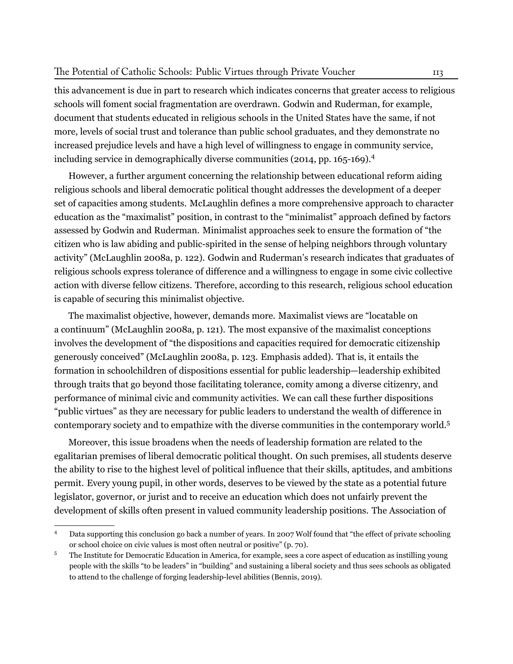this advancement is due in part to research which indicates concerns that greater access to religious schools will foment social fragmentation are overdrawn. Godwin and Ruderman, for example, document that students educated in religious schools in the United States have the same, if not more, levels of social trust and tolerance than public school graduates, and they demonstrate no increased prejudice levels and have a high level of willingness to engage in community service, including service in demographically diverse communities (2014, pp. 165-169).4

However, a further argument concerning the relationship between educational reform aiding religious schools and liberal democratic political thought addresses the development of a deeper set of capacities among students. McLaughlin defines a more comprehensive approach to character education as the "maximalist" position, in contrast to the "minimalist" approach defined by factors assessed by Godwin and Ruderman. Minimalist approaches seek to ensure the formation of "the citizen who is law abiding and public-spirited in the sense of helping neighbors through voluntary activity" (McLaughlin 2008a, p. 122). Godwin and Ruderman's research indicates that graduates of religious schools express tolerance of difference and a willingness to engage in some civic collective action with diverse fellow citizens. Therefore, according to this research, religious school education is capable of securing this minimalist objective.

The maximalist objective, however, demands more. Maximalist views are "locatable on a continuum" (McLaughlin 2008a, p. 121). The most expansive of the maximalist conceptions involves the development of "the dispositions and capacities required for democratic citizenship generously conceived" (McLaughlin 2008a, p. 123. Emphasis added). That is, it entails the formation in schoolchildren of dispositions essential for public leadership—leadership exhibited through traits that go beyond those facilitating tolerance, comity among a diverse citizenry, and performance of minimal civic and community activities. We can call these further dispositions "public virtues" as they are necessary for public leaders to understand the wealth of difference in contemporary society and to empathize with the diverse communities in the contemporary world.5

Moreover, this issue broadens when the needs of leadership formation are related to the egalitarian premises of liberal democratic political thought. On such premises, all students deserve the ability to rise to the highest level of political influence that their skills, aptitudes, and ambitions permit. Every young pupil, in other words, deserves to be viewed by the state as a potential future legislator, governor, or jurist and to receive an education which does not unfairly prevent the development of skills often present in valued community leadership positions. The Association of

<sup>4</sup> Data supporting this conclusion go back a number of years. In 2007 Wolf found that "the effect of private schooling or school choice on civic values is most often neutral or positive" (p. 70).

<sup>5</sup> The Institute for Democratic Education in America, for example, sees a core aspect of education as instilling young people with the skills "to be leaders" in "building" and sustaining a liberal society and thus sees schools as obligated to attend to the challenge of forging leadership-level abilities (Bennis, 2019).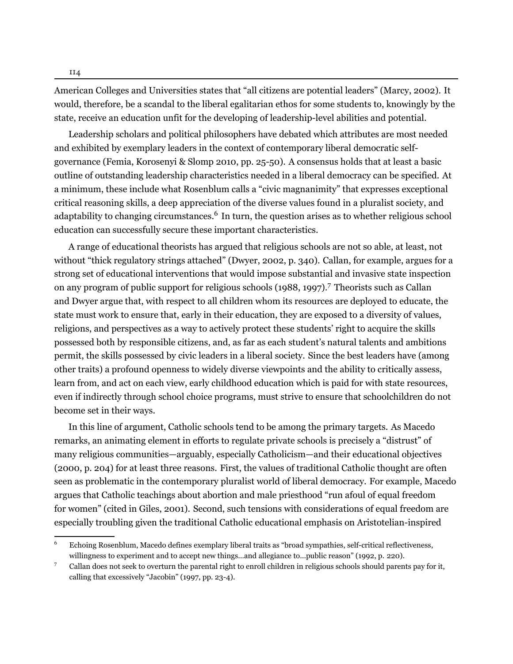American Colleges and Universities states that "all citizens are potential leaders" (Marcy, 2002). It would, therefore, be a scandal to the liberal egalitarian ethos for some students to, knowingly by the state, receive an education unfit for the developing of leadership-level abilities and potential.

Leadership scholars and political philosophers have debated which attributes are most needed and exhibited by exemplary leaders in the context of contemporary liberal democratic selfgovernance (Femia, Korosenyi & Slomp 2010, pp. 25-50). A consensus holds that at least a basic outline of outstanding leadership characteristics needed in a liberal democracy can be specified. At a minimum, these include what Rosenblum calls a "civic magnanimity" that expresses exceptional critical reasoning skills, a deep appreciation of the diverse values found in a pluralist society, and adaptability to changing circumstances.<sup>6</sup> In turn, the question arises as to whether religious school education can successfully secure these important characteristics.

A range of educational theorists has argued that religious schools are not so able, at least, not without "thick regulatory strings attached" (Dwyer, 2002, p. 340). Callan, for example, argues for a strong set of educational interventions that would impose substantial and invasive state inspection on any program of public support for religious schools (1988, 1997).7 Theorists such as Callan and Dwyer argue that, with respect to all children whom its resources are deployed to educate, the state must work to ensure that, early in their education, they are exposed to a diversity of values, religions, and perspectives as a way to actively protect these students' right to acquire the skills possessed both by responsible citizens, and, as far as each student's natural talents and ambitions permit, the skills possessed by civic leaders in a liberal society. Since the best leaders have (among other traits) a profound openness to widely diverse viewpoints and the ability to critically assess, learn from, and act on each view, early childhood education which is paid for with state resources, even if indirectly through school choice programs, must strive to ensure that schoolchildren do not become set in their ways.

In this line of argument, Catholic schools tend to be among the primary targets. As Macedo remarks, an animating element in efforts to regulate private schools is precisely a "distrust" of many religious communities—arguably, especially Catholicism—and their educational objectives (2000, p. 204) for at least three reasons. First, the values of traditional Catholic thought are often seen as problematic in the contemporary pluralist world of liberal democracy. For example, Macedo argues that Catholic teachings about abortion and male priesthood "run afoul of equal freedom for women" (cited in Giles, 2001). Second, such tensions with considerations of equal freedom are especially troubling given the traditional Catholic educational emphasis on Aristotelian-inspired

<sup>6</sup> Echoing Rosenblum, Macedo defines exemplary liberal traits as "broad sympathies, self-critical reflectiveness, willingness to experiment and to accept new things…and allegiance to…public reason" (1992, p. 220).

<sup>7</sup> Callan does not seek to overturn the parental right to enroll children in religious schools should parents pay for it, calling that excessively "Jacobin" (1997, pp. 23-4).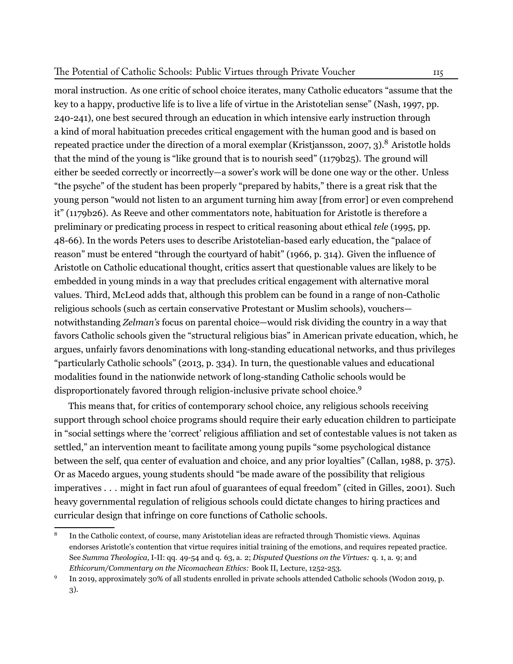moral instruction. As one critic of school choice iterates, many Catholic educators "assume that the key to a happy, productive life is to live a life of virtue in the Aristotelian sense" (Nash, 1997, pp. 240-241), one best secured through an education in which intensive early instruction through a kind of moral habituation precedes critical engagement with the human good and is based on repeated practice under the direction of a moral exemplar (Kristjansson, 2007, 3).<sup>8</sup> Aristotle holds that the mind of the young is "like ground that is to nourish seed" (1179b25). The ground will either be seeded correctly or incorrectly—a sower's work will be done one way or the other. Unless "the psyche" of the student has been properly "prepared by habits," there is a great risk that the young person "would not listen to an argument turning him away [from error] or even comprehend it" (1179b26). As Reeve and other commentators note, habituation for Aristotle is therefore a preliminary or predicating process in respect to critical reasoning about ethical *tele* (1995, pp. 48-66). In the words Peters uses to describe Aristotelian-based early education, the "palace of reason" must be entered "through the courtyard of habit" (1966, p. 314). Given the influence of Aristotle on Catholic educational thought, critics assert that questionable values are likely to be embedded in young minds in a way that precludes critical engagement with alternative moral values. Third, McLeod adds that, although this problem can be found in a range of non-Catholic religious schools (such as certain conservative Protestant or Muslim schools), vouchers notwithstanding *Zelman's* focus on parental choice—would risk dividing the country in a way that favors Catholic schools given the "structural religious bias" in American private education, which, he argues, unfairly favors denominations with long-standing educational networks, and thus privileges "particularly Catholic schools" (2013, p. 334). In turn, the questionable values and educational modalities found in the nationwide network of long-standing Catholic schools would be disproportionately favored through religion-inclusive private school choice.9

This means that, for critics of contemporary school choice, any religious schools receiving support through school choice programs should require their early education children to participate in "social settings where the 'correct' religious affiliation and set of contestable values is not taken as settled," an intervention meant to facilitate among young pupils "some psychological distance between the self, qua center of evaluation and choice, and any prior loyalties" (Callan, 1988, p. 375). Or as Macedo argues, young students should "be made aware of the possibility that religious imperatives . . . might in fact run afoul of guarantees of equal freedom" (cited in Gilles, 2001). Such heavy governmental regulation of religious schools could dictate changes to hiring practices and curricular design that infringe on core functions of Catholic schools.

<sup>8</sup> In the Catholic context, of course, many Aristotelian ideas are refracted through Thomistic views. Aquinas endorses Aristotle's contention that virtue requires initial training of the emotions, and requires repeated practice. See *Summa Theologica,* I-II: qq. 49-54 and q. 63, a. 2; *Disputed Questions on the Virtues:* q. 1, a. 9; and *Ethicorum/Commentary on the Nicomachean Ethics:* Book II, Lecture, 1252-253.

<sup>9</sup> In 2019, approximately 30% of all students enrolled in private schools attended Catholic schools (Wodon 2019, p. 3).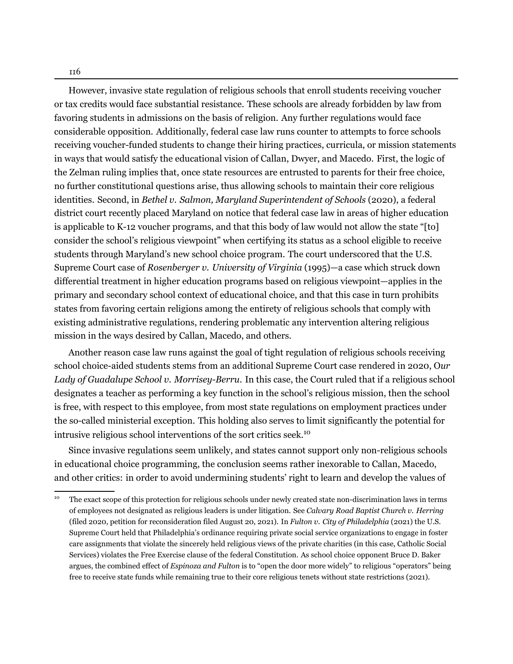However, invasive state regulation of religious schools that enroll students receiving voucher or tax credits would face substantial resistance. These schools are already forbidden by law from favoring students in admissions on the basis of religion. Any further regulations would face considerable opposition. Additionally, federal case law runs counter to attempts to force schools receiving voucher-funded students to change their hiring practices, curricula, or mission statements in ways that would satisfy the educational vision of Callan, Dwyer, and Macedo. First, the logic of the Zelman ruling implies that, once state resources are entrusted to parents for their free choice, no further constitutional questions arise, thus allowing schools to maintain their core religious identities. Second, in *Bethel v. Salmon, Maryland Superintendent of Schools* (2020), a federal district court recently placed Maryland on notice that federal case law in areas of higher education is applicable to K-12 voucher programs, and that this body of law would not allow the state "[to] consider the school's religious viewpoint" when certifying its status as a school eligible to receive students through Maryland's new school choice program. The court underscored that the U.S. Supreme Court case of *Rosenberger v. University of Virginia* (1995)—a case which struck down differential treatment in higher education programs based on religious viewpoint—applies in the primary and secondary school context of educational choice, and that this case in turn prohibits states from favoring certain religions among the entirety of religious schools that comply with existing administrative regulations, rendering problematic any intervention altering religious mission in the ways desired by Callan, Macedo, and others.

Another reason case law runs against the goal of tight regulation of religious schools receiving school choice-aided students stems from an additional Supreme Court case rendered in 2020, O*ur Lady of Guadalupe School v. Morrisey-Berru*. In this case, the Court ruled that if a religious school designates a teacher as performing a key function in the school's religious mission, then the school is free, with respect to this employee, from most state regulations on employment practices under the so-called ministerial exception. This holding also serves to limit significantly the potential for intrusive religious school interventions of the sort critics seek.10

Since invasive regulations seem unlikely, and states cannot support only non-religious schools in educational choice programming, the conclusion seems rather inexorable to Callan, Macedo, and other critics: in order to avoid undermining students' right to learn and develop the values of

<sup>&</sup>lt;sup>10</sup> The exact scope of this protection for religious schools under newly created state non-discrimination laws in terms of employees not designated as religious leaders is under litigation. See *Calvary Road Baptist Church v. Herring* (filed 2020, petition for reconsideration filed August 20, 2021). In *Fulton v. City of Philadelphia* (2021) the U.S. Supreme Court held that Philadelphia's ordinance requiring private social service organizations to engage in foster care assignments that violate the sincerely held religious views of the private charities (in this case, Catholic Social Services) violates the Free Exercise clause of the federal Constitution. As school choice opponent Bruce D. Baker argues, the combined effect of *Espinoza and Fulton* is to "open the door more widely" to religious "operators" being free to receive state funds while remaining true to their core religious tenets without state restrictions (2021).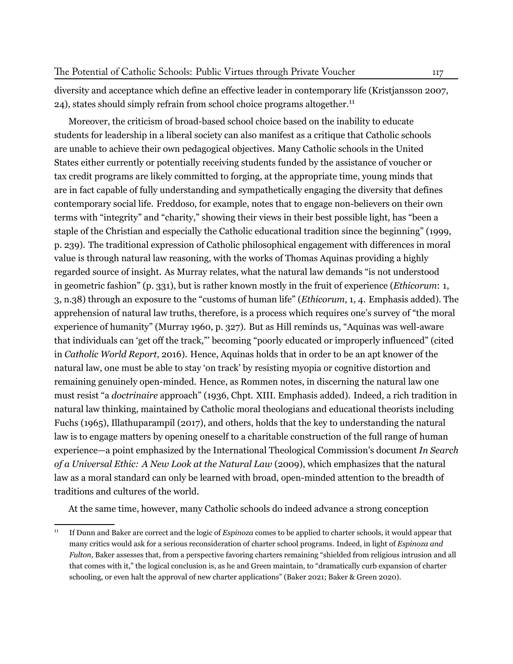diversity and acceptance which define an effective leader in contemporary life (Kristjansson 2007, 24), states should simply refrain from school choice programs altogether.<sup>11</sup>

Moreover, the criticism of broad-based school choice based on the inability to educate students for leadership in a liberal society can also manifest as a critique that Catholic schools are unable to achieve their own pedagogical objectives. Many Catholic schools in the United States either currently or potentially receiving students funded by the assistance of voucher or tax credit programs are likely committed to forging, at the appropriate time, young minds that are in fact capable of fully understanding and sympathetically engaging the diversity that defines contemporary social life. Freddoso, for example, notes that to engage non-believers on their own terms with "integrity" and "charity," showing their views in their best possible light, has "been a staple of the Christian and especially the Catholic educational tradition since the beginning" (1999, p. 239). The traditional expression of Catholic philosophical engagement with differences in moral value is through natural law reasoning, with the works of Thomas Aquinas providing a highly regarded source of insight. As Murray relates, what the natural law demands "is not understood in geometric fashion" (p. 331), but is rather known mostly in the fruit of experience (*Ethicorum*: 1, 3, n.38) through an exposure to the "customs of human life" (*Ethicorum*, 1, 4. Emphasis added). The apprehension of natural law truths, therefore, is a process which requires one's survey of "the moral experience of humanity" (Murray 1960, p. 327). But as Hill reminds us, "Aquinas was well-aware that individuals can 'get off the track,"' becoming "poorly educated or improperly influenced" (cited in *Catholic World Report,* 2016). Hence, Aquinas holds that in order to be an apt knower of the natural law, one must be able to stay 'on track' by resisting myopia or cognitive distortion and remaining genuinely open-minded. Hence, as Rommen notes, in discerning the natural law one must resist "a *doctrinaire* approach" (1936, Chpt. XIII. Emphasis added). Indeed, a rich tradition in natural law thinking, maintained by Catholic moral theologians and educational theorists including Fuchs (1965), Illathuparampil (2017), and others, holds that the key to understanding the natural law is to engage matters by opening oneself to a charitable construction of the full range of human experience—a point emphasized by the International Theological Commission's document *In Search of a Universal Ethic: A New Look at the Natural Law* (2009), which emphasizes that the natural law as a moral standard can only be learned with broad, open-minded attention to the breadth of traditions and cultures of the world.

At the same time, however, many Catholic schools do indeed advance a strong conception

<sup>11</sup> If Dunn and Baker are correct and the logic of *Espinoza* comes to be applied to charter schools, it would appear that many critics would ask for a serious reconsideration of charter school programs. Indeed, in light of *Espinoza and Fulton*, Baker assesses that, from a perspective favoring charters remaining "shielded from religious intrusion and all that comes with it," the logical conclusion is, as he and Green maintain, to "dramatically curb expansion of charter schooling, or even halt the approval of new charter applications" (Baker 2021; Baker & Green 2020).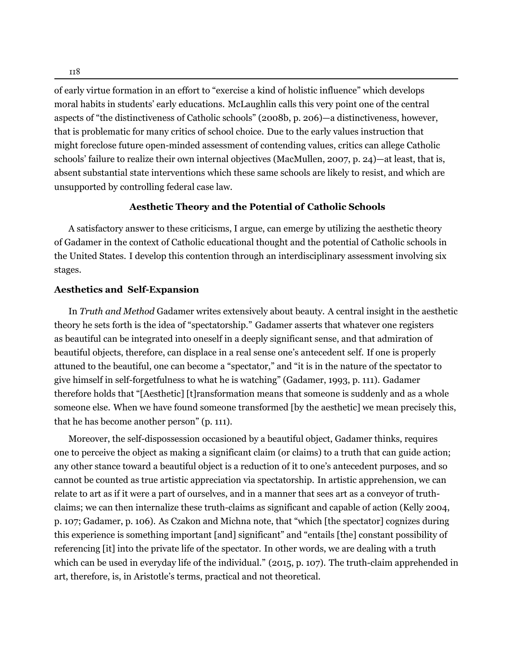of early virtue formation in an effort to "exercise a kind of holistic influence" which develops moral habits in students' early educations. McLaughlin calls this very point one of the central aspects of "the distinctiveness of Catholic schools" (2008b, p. 206)—a distinctiveness, however, that is problematic for many critics of school choice. Due to the early values instruction that might foreclose future open-minded assessment of contending values, critics can allege Catholic schools' failure to realize their own internal objectives (MacMullen, 2007, p. 24)—at least, that is, absent substantial state interventions which these same schools are likely to resist, and which are unsupported by controlling federal case law.

# **Aesthetic Theory and the Potential of Catholic Schools**

A satisfactory answer to these criticisms, I argue, can emerge by utilizing the aesthetic theory of Gadamer in the context of Catholic educational thought and the potential of Catholic schools in the United States. I develop this contention through an interdisciplinary assessment involving six stages.

# **Aesthetics and Self-Expansion**

In *Truth and Method* Gadamer writes extensively about beauty. A central insight in the aesthetic theory he sets forth is the idea of "spectatorship." Gadamer asserts that whatever one registers as beautiful can be integrated into oneself in a deeply significant sense, and that admiration of beautiful objects, therefore, can displace in a real sense one's antecedent self. If one is properly attuned to the beautiful, one can become a "spectator," and "it is in the nature of the spectator to give himself in self-forgetfulness to what he is watching" (Gadamer, 1993, p. 111). Gadamer therefore holds that "[Aesthetic] [t]ransformation means that someone is suddenly and as a whole someone else. When we have found someone transformed [by the aesthetic] we mean precisely this, that he has become another person" (p. 111).

Moreover, the self-dispossession occasioned by a beautiful object, Gadamer thinks, requires one to perceive the object as making a significant claim (or claims) to a truth that can guide action; any other stance toward a beautiful object is a reduction of it to one's antecedent purposes, and so cannot be counted as true artistic appreciation via spectatorship. In artistic apprehension, we can relate to art as if it were a part of ourselves, and in a manner that sees art as a conveyor of truthclaims; we can then internalize these truth-claims as significant and capable of action (Kelly 2004, p. 107; Gadamer, p. 106). As Czakon and Michna note, that "which [the spectator] cognizes during this experience is something important [and] significant" and "entails [the] constant possibility of referencing [it] into the private life of the spectator. In other words, we are dealing with a truth which can be used in everyday life of the individual." (2015, p. 107). The truth-claim apprehended in art, therefore, is, in Aristotle's terms, practical and not theoretical.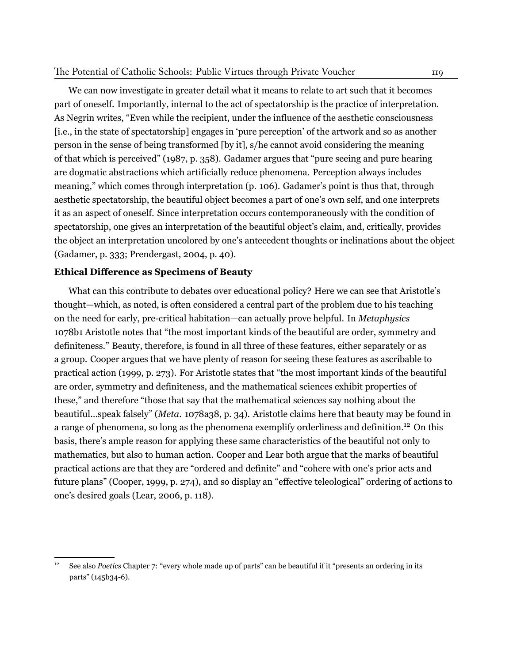# The Potential of Catholic Schools: Public Virtues through Private Voucher 119

We can now investigate in greater detail what it means to relate to art such that it becomes part of oneself. Importantly, internal to the act of spectatorship is the practice of interpretation. As Negrin writes, "Even while the recipient, under the influence of the aesthetic consciousness [i.e., in the state of spectatorship] engages in 'pure perception' of the artwork and so as another person in the sense of being transformed [by it], s/he cannot avoid considering the meaning of that which is perceived" (1987, p. 358). Gadamer argues that "pure seeing and pure hearing are dogmatic abstractions which artificially reduce phenomena. Perception always includes meaning," which comes through interpretation (p. 106). Gadamer's point is thus that, through aesthetic spectatorship, the beautiful object becomes a part of one's own self, and one interprets it as an aspect of oneself. Since interpretation occurs contemporaneously with the condition of spectatorship, one gives an interpretation of the beautiful object's claim, and, critically, provides the object an interpretation uncolored by one's antecedent thoughts or inclinations about the object (Gadamer, p. 333; Prendergast, 2004, p. 40).

# **Ethical Difference as Specimens of Beauty**

What can this contribute to debates over educational policy? Here we can see that Aristotle's thought—which, as noted, is often considered a central part of the problem due to his teaching on the need for early, pre-critical habitation—can actually prove helpful. In *Metaphysics* 1078b1 Aristotle notes that "the most important kinds of the beautiful are order, symmetry and definiteness." Beauty, therefore, is found in all three of these features, either separately or as a group. Cooper argues that we have plenty of reason for seeing these features as ascribable to practical action (1999, p. 273). For Aristotle states that "the most important kinds of the beautiful are order, symmetry and definiteness, and the mathematical sciences exhibit properties of these," and therefore "those that say that the mathematical sciences say nothing about the beautiful…speak falsely" (*Meta.* 1078a38, p. 34). Aristotle claims here that beauty may be found in a range of phenomena, so long as the phenomena exemplify orderliness and definition.<sup>12</sup> On this basis, there's ample reason for applying these same characteristics of the beautiful not only to mathematics, but also to human action. Cooper and Lear both argue that the marks of beautiful practical actions are that they are "ordered and definite" and "cohere with one's prior acts and future plans" (Cooper, 1999, p. 274), and so display an "effective teleological" ordering of actions to one's desired goals (Lear, 2006, p. 118).

<sup>&</sup>lt;sup>12</sup> See also *Poetics* Chapter 7: "every whole made up of parts" can be beautiful if it "presents an ordering in its parts" (145b34-6).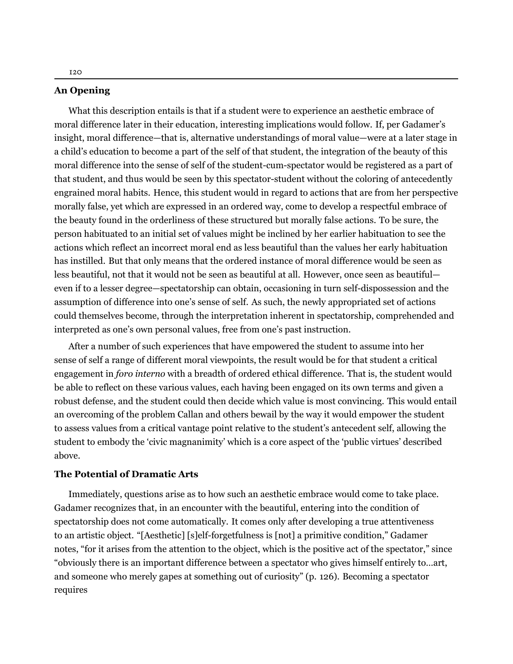What this description entails is that if a student were to experience an aesthetic embrace of moral difference later in their education, interesting implications would follow. If, per Gadamer's insight, moral difference—that is, alternative understandings of moral value—were at a later stage in a child's education to become a part of the self of that student, the integration of the beauty of this moral difference into the sense of self of the student-cum-spectator would be registered as a part of that student, and thus would be seen by this spectator-student without the coloring of antecedently engrained moral habits. Hence, this student would in regard to actions that are from her perspective morally false, yet which are expressed in an ordered way, come to develop a respectful embrace of the beauty found in the orderliness of these structured but morally false actions. To be sure, the person habituated to an initial set of values might be inclined by her earlier habituation to see the actions which reflect an incorrect moral end as less beautiful than the values her early habituation has instilled. But that only means that the ordered instance of moral difference would be seen as less beautiful, not that it would not be seen as beautiful at all. However, once seen as beautiful even if to a lesser degree—spectatorship can obtain, occasioning in turn self-dispossession and the assumption of difference into one's sense of self. As such, the newly appropriated set of actions could themselves become, through the interpretation inherent in spectatorship, comprehended and interpreted as one's own personal values, free from one's past instruction.

After a number of such experiences that have empowered the student to assume into her sense of self a range of different moral viewpoints, the result would be for that student a critical engagement in *foro interno* with a breadth of ordered ethical difference. That is, the student would be able to reflect on these various values, each having been engaged on its own terms and given a robust defense, and the student could then decide which value is most convincing. This would entail an overcoming of the problem Callan and others bewail by the way it would empower the student to assess values from a critical vantage point relative to the student's antecedent self, allowing the student to embody the 'civic magnanimity' which is a core aspect of the 'public virtues' described above.

#### **The Potential of Dramatic Arts**

Immediately, questions arise as to how such an aesthetic embrace would come to take place. Gadamer recognizes that, in an encounter with the beautiful, entering into the condition of spectatorship does not come automatically. It comes only after developing a true attentiveness to an artistic object. "[Aesthetic] [s]elf-forgetfulness is [not] a primitive condition," Gadamer notes, "for it arises from the attention to the object, which is the positive act of the spectator," since "obviously there is an important difference between a spectator who gives himself entirely to…art, and someone who merely gapes at something out of curiosity" (p. 126). Becoming a spectator requires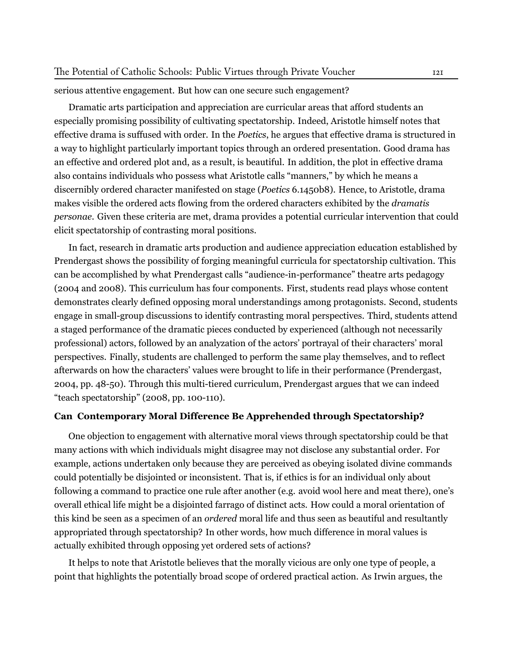#### serious attentive engagement. But how can one secure such engagement?

Dramatic arts participation and appreciation are curricular areas that afford students an especially promising possibility of cultivating spectatorship. Indeed, Aristotle himself notes that effective drama is suffused with order. In the *Poetics*, he argues that effective drama is structured in a way to highlight particularly important topics through an ordered presentation. Good drama has an effective and ordered plot and, as a result, is beautiful. In addition, the plot in effective drama also contains individuals who possess what Aristotle calls "manners," by which he means a discernibly ordered character manifested on stage (*Poetics* 6.1450b8). Hence, to Aristotle, drama makes visible the ordered acts flowing from the ordered characters exhibited by the *dramatis personae*. Given these criteria are met, drama provides a potential curricular intervention that could elicit spectatorship of contrasting moral positions.

In fact, research in dramatic arts production and audience appreciation education established by Prendergast shows the possibility of forging meaningful curricula for spectatorship cultivation. This can be accomplished by what Prendergast calls "audience-in-performance" theatre arts pedagogy (2004 and 2008). This curriculum has four components. First, students read plays whose content demonstrates clearly defined opposing moral understandings among protagonists. Second, students engage in small-group discussions to identify contrasting moral perspectives. Third, students attend a staged performance of the dramatic pieces conducted by experienced (although not necessarily professional) actors, followed by an analyzation of the actors' portrayal of their characters' moral perspectives. Finally, students are challenged to perform the same play themselves, and to reflect afterwards on how the characters' values were brought to life in their performance (Prendergast, 2004, pp. 48-50). Through this multi-tiered curriculum, Prendergast argues that we can indeed "teach spectatorship" (2008, pp. 100-110).

## **Can Contemporary Moral Difference Be Apprehended through Spectatorship?**

One objection to engagement with alternative moral views through spectatorship could be that many actions with which individuals might disagree may not disclose any substantial order. For example, actions undertaken only because they are perceived as obeying isolated divine commands could potentially be disjointed or inconsistent. That is, if ethics is for an individual only about following a command to practice one rule after another (e.g. avoid wool here and meat there), one's overall ethical life might be a disjointed farrago of distinct acts. How could a moral orientation of this kind be seen as a specimen of an *ordered* moral life and thus seen as beautiful and resultantly appropriated through spectatorship? In other words, how much difference in moral values is actually exhibited through opposing yet ordered sets of actions?

It helps to note that Aristotle believes that the morally vicious are only one type of people, a point that highlights the potentially broad scope of ordered practical action. As Irwin argues, the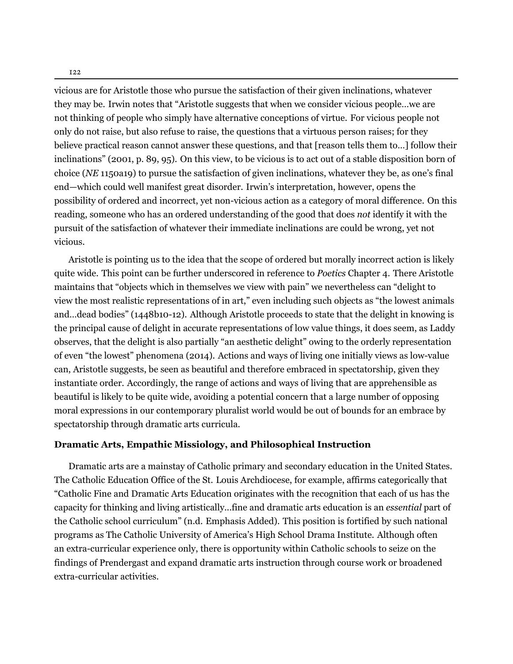vicious are for Aristotle those who pursue the satisfaction of their given inclinations, whatever they may be. Irwin notes that "Aristotle suggests that when we consider vicious people…we are not thinking of people who simply have alternative conceptions of virtue. For vicious people not only do not raise, but also refuse to raise, the questions that a virtuous person raises; for they believe practical reason cannot answer these questions, and that [reason tells them to…] follow their inclinations" (2001, p. 89, 95). On this view, to be vicious is to act out of a stable disposition born of choice (*NE* 1150a19) to pursue the satisfaction of given inclinations, whatever they be, as one's final end—which could well manifest great disorder. Irwin's interpretation, however, opens the possibility of ordered and incorrect, yet non-vicious action as a category of moral difference. On this reading, someone who has an ordered understanding of the good that does *not* identify it with the pursuit of the satisfaction of whatever their immediate inclinations are could be wrong, yet not vicious.

Aristotle is pointing us to the idea that the scope of ordered but morally incorrect action is likely quite wide. This point can be further underscored in reference to *Poetics* Chapter 4. There Aristotle maintains that "objects which in themselves we view with pain" we nevertheless can "delight to view the most realistic representations of in art," even including such objects as "the lowest animals and…dead bodies" (1448b10-12). Although Aristotle proceeds to state that the delight in knowing is the principal cause of delight in accurate representations of low value things, it does seem, as Laddy observes, that the delight is also partially "an aesthetic delight" owing to the orderly representation of even "the lowest" phenomena (2014). Actions and ways of living one initially views as low-value can, Aristotle suggests, be seen as beautiful and therefore embraced in spectatorship, given they instantiate order. Accordingly, the range of actions and ways of living that are apprehensible as beautiful is likely to be quite wide, avoiding a potential concern that a large number of opposing moral expressions in our contemporary pluralist world would be out of bounds for an embrace by spectatorship through dramatic arts curricula.

#### **Dramatic Arts, Empathic Missiology, and Philosophical Instruction**

Dramatic arts are a mainstay of Catholic primary and secondary education in the United States. The Catholic Education Office of the St. Louis Archdiocese, for example, affirms categorically that "Catholic Fine and Dramatic Arts Education originates with the recognition that each of us has the capacity for thinking and living artistically...fine and dramatic arts education is an *essential* part of the Catholic school curriculum" (n.d. Emphasis Added). This position is fortified by such national programs as The Catholic University of America's High School Drama Institute. Although often an extra-curricular experience only, there is opportunity within Catholic schools to seize on the findings of Prendergast and expand dramatic arts instruction through course work or broadened extra-curricular activities.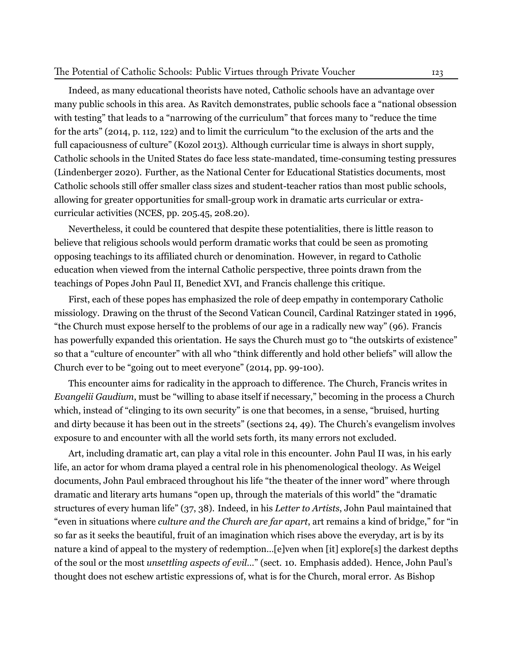#### The Potential of Catholic Schools: Public Virtues through Private Voucher 123

Indeed, as many educational theorists have noted, Catholic schools have an advantage over many public schools in this area. As Ravitch demonstrates, public schools face a "national obsession with testing" that leads to a "narrowing of the curriculum" that forces many to "reduce the time for the arts" (2014, p. 112, 122) and to limit the curriculum "to the exclusion of the arts and the full capaciousness of culture" (Kozol 2013). Although curricular time is always in short supply, Catholic schools in the United States do face less state-mandated, time-consuming testing pressures (Lindenberger 2020). Further, as the National Center for Educational Statistics documents, most Catholic schools still offer smaller class sizes and student-teacher ratios than most public schools, allowing for greater opportunities for small-group work in dramatic arts curricular or extracurricular activities (NCES, pp. 205.45, 208.20).

Nevertheless, it could be countered that despite these potentialities, there is little reason to believe that religious schools would perform dramatic works that could be seen as promoting opposing teachings to its affiliated church or denomination. However, in regard to Catholic education when viewed from the internal Catholic perspective, three points drawn from the teachings of Popes John Paul II, Benedict XVI, and Francis challenge this critique.

First, each of these popes has emphasized the role of deep empathy in contemporary Catholic missiology. Drawing on the thrust of the Second Vatican Council, Cardinal Ratzinger stated in 1996, "the Church must expose herself to the problems of our age in a radically new way" (96). Francis has powerfully expanded this orientation. He says the Church must go to "the outskirts of existence" so that a "culture of encounter" with all who "think differently and hold other beliefs" will allow the Church ever to be "going out to meet everyone" (2014, pp. 99-100).

This encounter aims for radicality in the approach to difference. The Church, Francis writes in *Evangelii Gaudium*, must be "willing to abase itself if necessary," becoming in the process a Church which, instead of "clinging to its own security" is one that becomes, in a sense, "bruised, hurting and dirty because it has been out in the streets" (sections 24, 49). The Church's evangelism involves exposure to and encounter with all the world sets forth, its many errors not excluded.

Art, including dramatic art, can play a vital role in this encounter. John Paul II was, in his early life, an actor for whom drama played a central role in his phenomenological theology. As Weigel documents, John Paul embraced throughout his life "the theater of the inner word" where through dramatic and literary arts humans "open up, through the materials of this world" the "dramatic structures of every human life" (37, 38). Indeed, in his *Letter to Artists*, John Paul maintained that "even in situations where *culture and the Church are far apart*, art remains a kind of bridge," for "in so far as it seeks the beautiful, fruit of an imagination which rises above the everyday, art is by its nature a kind of appeal to the mystery of redemption...[e]ven when [it] explore[s] the darkest depths of the soul or the most *unsettling aspects of evil…*" (sect. 10. Emphasis added). Hence, John Paul's thought does not eschew artistic expressions of, what is for the Church, moral error. As Bishop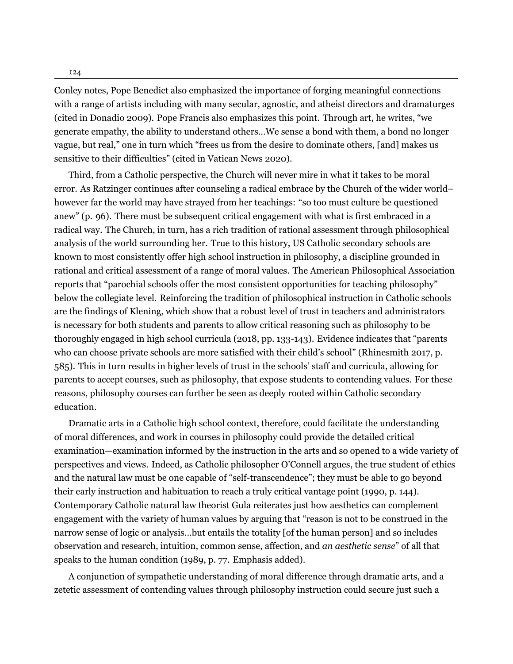Conley notes, Pope Benedict also emphasized the importance of forging meaningful connections with a range of artists including with many secular, agnostic, and atheist directors and dramaturges (cited in Donadio 2009). Pope Francis also emphasizes this point. Through art, he writes, "we generate empathy, the ability to understand others…We sense a bond with them, a bond no longer vague, but real," one in turn which "frees us from the desire to dominate others, [and] makes us sensitive to their difficulties" (cited in Vatican News 2020).

Third, from a Catholic perspective, the Church will never mire in what it takes to be moral error. As Ratzinger continues after counseling a radical embrace by the Church of the wider world– however far the world may have strayed from her teachings: "so too must culture be questioned anew" (p. 96). There must be subsequent critical engagement with what is first embraced in a radical way. The Church, in turn, has a rich tradition of rational assessment through philosophical analysis of the world surrounding her. True to this history, US Catholic secondary schools are known to most consistently offer high school instruction in philosophy, a discipline grounded in rational and critical assessment of a range of moral values. The American Philosophical Association reports that "parochial schools offer the most consistent opportunities for teaching philosophy" below the collegiate level. Reinforcing the tradition of philosophical instruction in Catholic schools are the findings of Klening, which show that a robust level of trust in teachers and administrators is necessary for both students and parents to allow critical reasoning such as philosophy to be thoroughly engaged in high school curricula (2018, pp. 133-143). Evidence indicates that "parents who can choose private schools are more satisfied with their child's school" (Rhinesmith 2017, p. 585). This in turn results in higher levels of trust in the schools' staff and curricula, allowing for parents to accept courses, such as philosophy, that expose students to contending values. For these reasons, philosophy courses can further be seen as deeply rooted within Catholic secondary education.

Dramatic arts in a Catholic high school context, therefore, could facilitate the understanding of moral differences, and work in courses in philosophy could provide the detailed critical examination—examination informed by the instruction in the arts and so opened to a wide variety of perspectives and views. Indeed, as Catholic philosopher O'Connell argues, the true student of ethics and the natural law must be one capable of "self-transcendence"; they must be able to go beyond their early instruction and habituation to reach a truly critical vantage point (1990, p. 144). Contemporary Catholic natural law theorist Gula reiterates just how aesthetics can complement engagement with the variety of human values by arguing that "reason is not to be construed in the narrow sense of logic or analysis…but entails the totality [of the human person] and so includes observation and research, intuition, common sense, affection, and *an aesthetic sense*" of all that speaks to the human condition (1989, p. 77. Emphasis added).

A conjunction of sympathetic understanding of moral difference through dramatic arts, and a zetetic assessment of contending values through philosophy instruction could secure just such a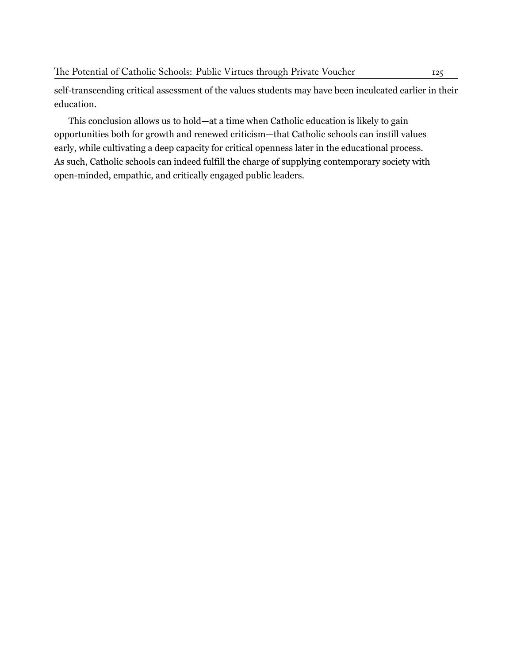self-transcending critical assessment of the values students may have been inculcated earlier in their education.

This conclusion allows us to hold—at a time when Catholic education is likely to gain opportunities both for growth and renewed criticism—that Catholic schools can instill values early, while cultivating a deep capacity for critical openness later in the educational process. As such, Catholic schools can indeed fulfill the charge of supplying contemporary society with open-minded, empathic, and critically engaged public leaders.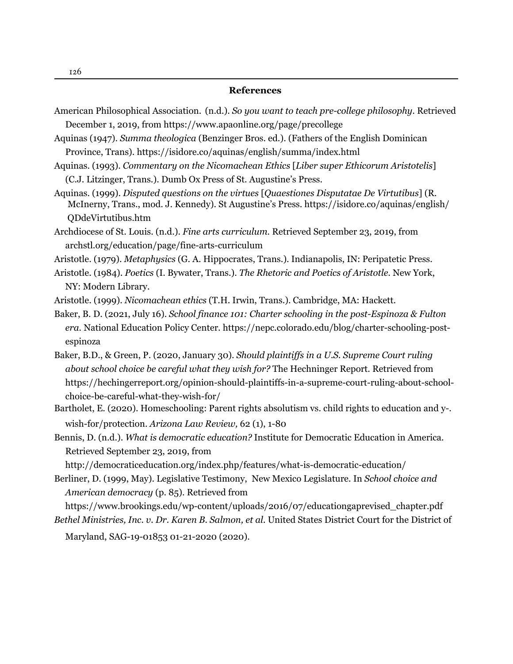#### **References**

- American Philosophical Association. (n.d.). *So you want to teach pre-college philosophy.* Retrieved December 1, 2019, from<https://www.apaonline.org/page/precollege>
- Aquinas (1947). *Summa theologica* (Benzinger Bros. ed.). (Fathers of the English Dominican Province, Trans).<https://isidore.co/aquinas/english/summa/index.html>
- Aquinas. (1993). *Commentary on the Nicomachean Ethics* [*Liber super Ethicorum Aristotelis*] (C.J. Litzinger, Trans.). Dumb Ox Press of St. Augustine's Press.
- Aquinas. (1999). *Disputed questions on the virtues* [*Quaestiones Disputatae De Virtutibus*] (R. McInerny, Trans., mod. J. Kennedy). St Augustine's Pr[ess. https://isidore.co/aquinas/english/](https://isidore.co/aquinas/english/) QDdeVirtutibus.htm
- Archdiocese of St. Louis. (n.d.). *Fine arts curriculum.* Retrieved September 23, 2019, from archstl.org/education/page/fine-arts-curriculum
- Aristotle. (1979). *Metaphysics* (G. A. Hippocrates, Trans.). Indianapolis, IN: Peripatetic Press.
- Aristotle. (1984). *Poetics* (I. Bywater, Trans.). *The Rhetoric and Poetics of Aristotle.* New York, NY: Modern Library.
- Aristotle. (1999). *Nicomachean ethics* (T.H. Irwin, Trans.). Cambridge, MA: Hackett.
- Baker, B. D. (2021, July 16). *School finance 101: Charter schooling in the post-Espinoza & Fulton era.* [National Education Policy Center. https://nepc.colorado.edu/blog/charter-schooling-post](https://nepc.colorado.edu/blog/charter-schooling-post-espinozaBaker) espinoza
- [Baker, B.D](https://nepc.colorado.edu/blog/charter-schooling-post-espinozaBaker)., & Green, P. (2020, January 30). *Should plaintiffs in a U.S. Supreme Court ruling about school choice be careful what they wish for?* The Hechning[er Report. Retrieved from](https://hechingerreport.org/) https://hechingerreport.org/opinion-should-plaintiffs-in-a-supreme-court-ruling-about-school choice-be-careful-what-they-wish-for/
- Bartholet, E. (2020). Homeschooling: Parent rights absolutism vs. child rights to education and y-. wish-for/protection. *Arizona Law Review,* 62 (1), 1-80
- Bennis, D. (n.d.). *What is democratic education?* Institute for Democratic Education in America. Retrieved September 23, 2019, fro[m](http://democraticeducation.org/index.php/features/what-is-d)

http://democraticeducation.org/index.php/features/what-is-democratic-education/

Berliner, D. (1999, May). Legislative Testimony, New Mexico Legislature. In *School choice and American democracy* (p. 8[5\). Retrieved from](https://www.brookings.edu/wp-content/uploads/2016/07/education)

https://www.brookings.edu/wp-content/uploads/2016/07/educationgaprevised\_chapter.pdf *Bethel Ministries, Inc. v. Dr. Karen B. Salmon, et al. United States District Court for the District of* 

Maryland, SAG-19-01853 01-21-2020 (2020).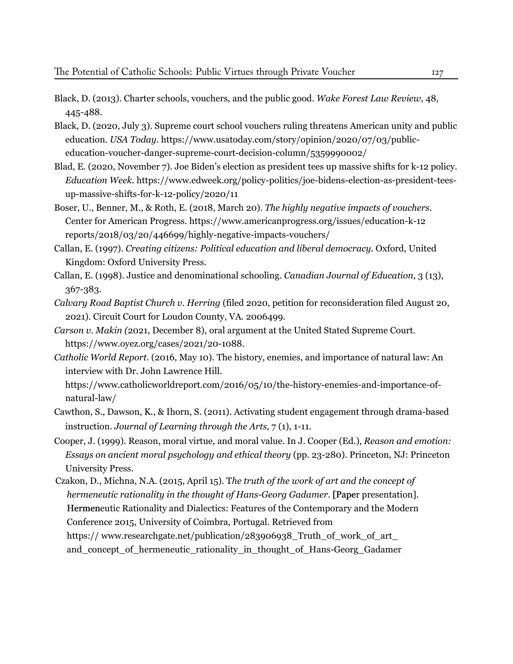- Black, D. (2013). Charter schools, vouchers, and the public good. *Wake Forest Law Review*, 48, 445-488.
- Black, D. (2020, July 3). Supreme court school vouchers ruling threatens American unity and public education. *USA Today*. htt[ps://www.usatoday.com/story/opinion/2020/07/03/public](https://www.usatoday.com/story/opinion/2020/07/03/public-educ) education-voucher-danger-supreme-court-decision-column/5359990002/
- Blad, E. (2020, November 7). Joe Biden's election as president tees up massive shifts for k-12 policy.  *Education Week.* [https://www.edweek.org/policy-politics/joe-bidens-election-as-president-tees](https://www.edweek.org/policy-politics/joe-bidens-election-as-president-tees-up-massive-shifts-for-k-12-policy/2020/11) u[p-massive-shifts-for-k-12-policy/2020/11](https://www.edweek.org/policy-politics/joe-bidens-election-as-president-tees-up-massive-shifts-for-k-12-policy/2020/11)
- Boser, U., Benner, M., & Roth, E. (2018, March 20). *The highly negative impacts of vouchers.* Center for American Progre[ss. https://www.americanprogress.org/issues/education-k-12](https://www.americanprogress.org/issues/education-k-12/reports/2) reports/2018/03/20/446699/highly-negative-impacts-vouchers/
- Callan, E. (1997). *Creating citizens: Political education and liberal democracy.* Oxford, United Kingdom: Oxford University Press.
- Callan, E. (1998). Justice and denominational schooling. *Canadian Journal of Education*, 3 (13), 367-383.
- *Calvary Road Baptist Church v. Herring* (filed 2020, petition for reconsideration filed August 20, 2021). Circuit Court for Loudon County, VA. 2006499.
- *Carson v. Makin (*2021, December 8), oral argument at the United Stated Supreme Court.  [https://www.oyez.org/cases/2021/2](https://www.oyez.org/cases/2021/20-1088)0-1088.
- *Catholic World Report.* (2016, May 10). The history, enemies, and importance of natural law: An interview with Dr. John Lawrence Hill.

 [https://www.catholicworldreport.com/2016/05/10/the-history-enemies-and-importance-of](https://www.catholicworldreport.com/2016/05/10/the-history-enemies-and-importance-of-natural-law/) natural-law/

- Cawth[on, S., Dawson, K., & Ihorn, S. \(2011\). Activat](https://www.catholicworldreport.com/2016/05/10/the-history-enemies-and-importance-of-natural-law/)ing student engagement through drama-based instruction. *Journal of Learning through the Arts,* 7 (1), 1-11.
- Cooper, J. (1999). Reason, moral virtue, and moral value. In J. Cooper (Ed.), *Reason and emotion: Essays on ancient moral psychology and ethical theory* (pp. 23-280). Princeton, NJ: Princeton University Press.
- Czakon, D., Michna, N.A. (2015, April 15). T*he truth of the work of art and the concept of hermeneutic rationality in the thought of Hans-Georg Gadamer.* [Paper presentation]. Hermeneutic Rationality and Dialectics: Features of the Contemporary and the Modern Conference 2015, University of Coimbra, Portugal. Retrieved from https://www.researchgate.net/publication/283906938\_Truth\_of\_work\_of\_art\_ and\_concept\_of\_hermeneutic\_rationality\_in\_thought\_of\_Hans-Georg\_Gadamer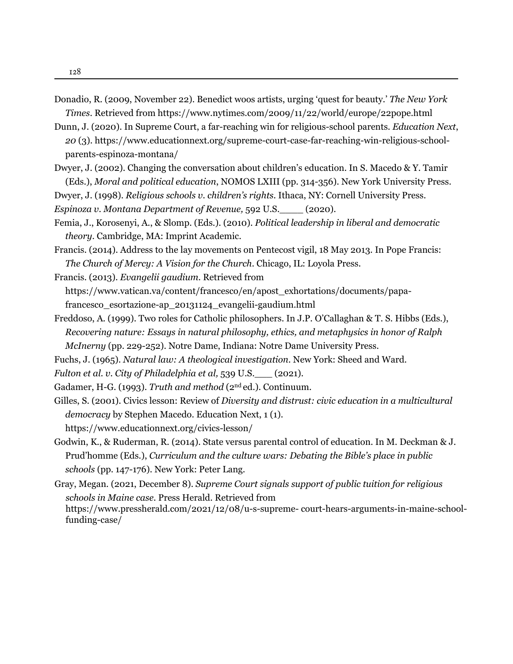- Donadio, R. (2009, November 22). Benedict woos artists, urging 'quest for beauty.' *The New York Times*. Retrieved from https://www.nytimes.com/2009/11/22/world/europe/22pope.html
- Dunn, J. (2020). In Supreme Court, a far-reaching win for religious-school parents. *Education Next*, *20* (3). ht[tps://www.educationnext.org/supreme-court-case-far-reaching-win-re](https://www.nytimes.com/2009/11/22/world/europe/22pope.html)ligious-school parents-espinoza-montana/
- Dwyer, J. (2[002\). Changing the conversation about children's education. In S. Macedo & Y. Tamir](https://www.educationnext.org/supreme-court-case-far-reaching-win-religious-schoo) (Eds.), *Moral and political education*, NOMOS LXIII (pp. 314-356). New York University Press.
- Dwyer, J. (1998). *Religious schools v. children's rights.* Ithaca, NY: Cornell University Press.
- *Espinoza v. Montana Department of Revenue,* 592 U.S.\_\_\_\_ (2020).
- Femia, J., Korosenyi, A., & Slomp. (Eds.). (2010). *Political leadership in liberal and democratic theory*. Cambridge, MA: Imprint Academic.
- Francis. (2014). Address to the lay movements on Pentecost vigil, 18 May 2013. In Pope Francis:  *The Church of Mercy: A Vision for the Church*. Chicago, IL: Loyola Press.
- Francis. (2013). *Evangelii gaudium.* Retrieved from https://www.vatican.va/content/francesco/en/apost\_exhortations/documents/papa francesco\_esortazione-ap\_20131124\_evangelii-gaudium.html
- Freddoso, A. (1999). Two roles for Catholic philosophers. In J.P. O'Callaghan & T. S. Hibbs (Eds.),  *Recovering nature: Essays in natura[l philosophy, ethics, and metaphysics in honor of Ralph](https://www.vatican.va/content/francesco/en/apost_exho) McInerny* (pp. 229-252). Notre Dame, Indiana: Notre Dame University Press.
- Fuchs, J. (1965). *Natural law: A theological investigation*. New York: Sheed and Ward.
- *Fulton et al. v. City of Philadelphia et al,* 539 U.S.\_\_\_ (2021).
- Gadamer, H-G. (1993). *Truth and method* (2<sup>nd</sup> ed.). Continuum.
- Gilles, S. (2001). Civics lesson: Review of *Diversity and distrust: civi[c education in a multicultural](https://www.educationne) democracy* by Stephen Macedo. Education Next, 1 (1). https://www.educationnext.org/civics-lesson/
- Godwin, K., & Ruderman, R. (2014). State versus parental control of education. In M. Deckman & J. Prud'homme (Eds.), *Curriculum and the culture wars: Debating the Bible's place in public schools* (pp. 147-176). New York: Peter Lang.
- Gray, Megan. (2021, December 8). *Supreme Court signals support of public tuition for religious schools in Maine case.* Press Herald. Retrieved from https://www.pressherald.com/2021/12/08/u-s-supreme- court-hears-arguments-in-maine-school funding-case/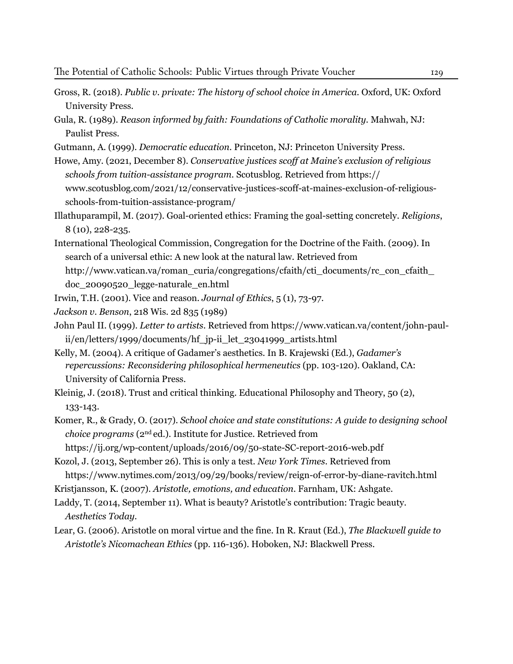- Gross, R. (2018). *Public v. private: The history of school choice in America.* Oxford, UK: Oxford University Press.
- Gula, R. (1989). *[Reason informed by faith: Foundations of Catholic morality.](https://www.pressherald.com/2021/12/08/u-s-supreme-%ED%AF%80%ED%B0%83court-hears-arguments-in-maine-school-funding-case/)* Mahwah, NJ: Paulist Press.
- Gutmann, A. (1999). *Democratic education.* Princeton, NJ: Princeton University Press.
- Howe, Amy. (2021, December 8). *Conservative justices scoff at Maine's exclusion of religious schools from tuition-assistance program.* Scotusbl[og. Retrieved fr](https://www.scotusblog.com/2021/12/conser)[om https://](https://www.scotusblog.com/2021/12/conservative-justices-scoff-at-maines-exclusion-of-religious-schools-from-tuition-assistance-program/) [www.scotusblog.com/2021/12/conservative-justices-scoff-at-maines-exclusion-of-rel](https://www.scotusblog.com/2021/12/conservative-justices-scoff-at-maines-exclusion-of-religious-schools-from-tuition-assistance-program/)igious scho[ols-from-tuition-assistance-program/](https://www.scotusblog.com/2021/12/conservative-justices-scoff-at-maines-exclusion-of-religious-schools-from-tuition-assistance-program/)

Illathuparampil, M. (2017). Goal-oriented ethics: Framing the goal-setting concretely. *Religions*, 8 (10), 228-235.

[International Theological Commission, Congregation for the Doctrine of the Faith. \(2009\). In](https://www.scotusblog.com/2021/12/conservative-justices-scoff-at-maines-exclusion-of-religious-schools-from-tuition-assistance-program/)  search of a universal ethic: A new look at the natural law. Retrieved from http://www.vatican.va/roman\_curia/congregations/cfaith/cti\_documents/rc\_con\_cfaith doc\_20090520\_legge-naturale\_en.html

Irwin, T.H. (2001). Vice and reason. *Journal of Ethics*, 5 (1), 73-97.

*Jackson v. Benson*, 218 Wis. 2d 835 (1989)

- John Paul II. (1999). *Letter to artists*. Retrieved from [https://www.vatican.va/content/john-pa](https://www.vatican.va/content/john-paul-ii/en/letters/1999/documents/hf_jp-ii_let_23041999_artists.html)ul  [ii/en/letters/1999/documents/hf\\_jp-ii\\_let\\_23041999\\_artists.html](https://www.vatican.va/content/john-paul-ii/en/letters/1999/documents/hf_jp-ii_let_23041999_artists.html)
- Kelly, M. (2004). A critique of Gadamer's aesthetics. In B. Krajewski (Ed.), *Gadamer's repercussions: Reconsidering philosophical hermeneutics* (pp. 103-120). Oakland, CA: University of California Press.
- Kleinig, J. (2018). Trust and critical thinking. Educati[onal Philosophy and Theory, 50 \(2\),](https://ij.org/wp-content/uploads/2016/0)  133-143.
- Komer, R., & Grady, O. (2017). *School choice and state constitutions: A guide to [designing school](https://www.nytim)  choice programs* (2nd ed.). Institute for Justice. Retrieved from

<https://ij.org/wp-content/uploads/2016/09/50-state-SC-report-2016-web.pdf>

- Kozol, J. (2013, September 26). This is only a test. *New York Times*. Retrieved from <https://www.nytimes.com/2013/09/29/books/review/reign-of-error-by-diane-ravitch.html>
- Kristjansson, K. (2007). *Aristotle, emotions, and education*. Farnham, UK: Ashgate.
- Laddy, T. (2014, September 11). What is beauty? Aristotle's contribution: Tragic beauty.  *Aesthetics Today.*
- Lear, G. (2006). Aristotle on moral virtue and the fine. In R. Kraut (Ed.), *The Blackwell guide to Aristotle's Nicomachean Ethics* [\(pp. 116-136\). Hoboken, NJ: Blackwell Press.](https://www.fatherly.com/love-money/private-school-vs-public-school-facts-b)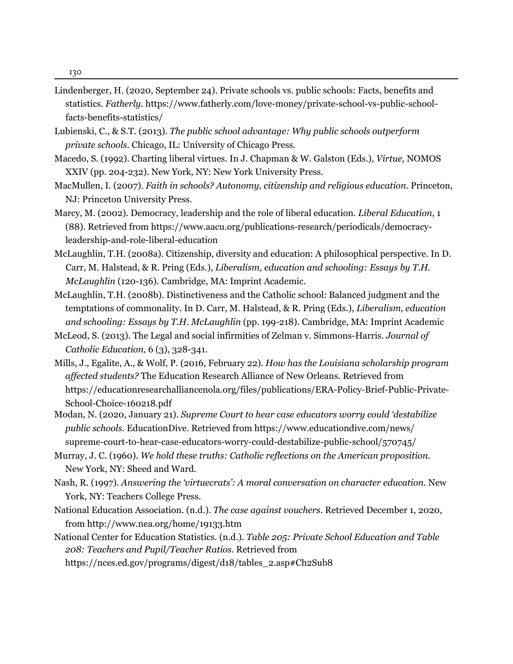- Lindenberger, H. (2020, September 24). Private schools vs. public schools: Facts, benefits and statistics. *Fatherly.* [https://www.fatherly.com/love-money/private-school-vs-public-school](https://www.fatherly.com/love-money/private-school-vs-public-school-facts-benefits-statistics/)  facts[-benefits-statistics/](https://www.fatherly.com/love-money/private-school-vs-public-school-facts-benefits-statistics/)
- Lubienski, C., & S.T. (2013). *The public school advantage: Why public schools outperform private schools.* Chicago, IL: University of Chicago Press.
- Macedo, S. (1992). Charting liberal virtues. In J. Chapman & W. Galston (Eds.), *Virtue,* NOMOS X[XIV \(pp. 204-232\). New York, NY: New York University Press.](https://www.aacu.org/publications-research/periodicals/democracy-leadership-and-role-libe)
- MacMullen, I. (2007). *Faith in schools? Autonomy, citizenship and religious education.* Princeton, NJ: Princeton University Press.
- Marcy, M. (2002). Democracy, leadership and the role of liberal education. *Liberal Education*, 1 (88). Retrieved from [https://www.aacu.org/publications-research/periodicals/de](https://www.aacu.org/publications-research/periodicals/democracy-leadership-and-role-liberal-education)mocracy leadership-and-role-liberal-education
- [McLaughlin, T.H. \(2008a\). Citizenship, diversity and education: A philosophical perspective. In](https://www.aacu.org/publications-research/periodicals/democracy-leadership-and-role-liberal-education) D. Carr, M. Halstead, & R. Pring (Eds.), *Liberalism, education and schooling: Essays by T.H. McLaughlin* (120-136). Cambridge, MA: Imprint Academic.
- McLaughlin, T.H. (2008b). Distinctiveness and the Catholic school: Balanced judgment and the temptations of commonality. In D. Carr, M. Halstead, & R. Pring (Eds.), *Liberalism, education and schooling: Essays by T.H. McLaughlin* (pp. 199-218). Cambridge, MA: Imprint Academic
- McLeod, S. (2013). The Legal and social infirmities of Zelman v. Sim[mons-Harris.](https://educationresearchallia) *Journal of Catholic Education,* 6 (3), 328-341.
- Mills, J., Egalite, A., & Wolf, P. (2016, February 22). *How has the Louisiana scholarship program affected students?* The Educ[ation Research Alliance of New Orleans. Retrieved from](https://www.educationdive.com/news/supreme-court-to-hear-case)  https://educationresearchalliancenola.org/files/publications/ERA-Policy-Brief-Public-Private- [School-Choice-160218.pdf](https://educationresearchalliancenola.org/files/publications/ERA-Policy-Brief-Public-Private-School-Choice-160218.pdf)
- M[odan, N. \(2020, January 21\).](https://educationresearchalliancenola.org/files/publications/ERA-Policy-Brief-Public-Private-School-Choice-160218.pdf) *Supreme Court to hear case educators worry could 'destabilize public schools.* EducationDive. Retrieved from https://www.educationdive.com/news/ supreme-court-to-hear-case-educators-worry-[could-destabilize-public-school/570745/](https://www.educationdive.com/news/)
- Murray, J. C. (1960). *We hold these truths: Catholic reflections on the American proposition.* New York, NY: Sheed and Ward.
- Nash, R. (1997). *[Answering the 'virtuecrats': A](http://www.nea.org/home/19133.htm) moral conversation on character education.* New York, NY: Teachers College Press.
- National Education Association. (n.d.). *The case against vouchers*[. Retrieved December 1, 2020,](https://nces.ed.gov/programs/digest/d18/tables_2.asp#) from http://www.nea.org/home/19133.htm

Nationa[l Center for Education Statistics. \(n.d.\).](http://www.nea.org/home/19133.htm) *Table 205: Private School Education and Table 208: Teachers and Pupil/Teacher Ratios.* Retrieved from https://nces.ed.gov/programs/digest/d18/tables\_2.asp#Ch2Sub8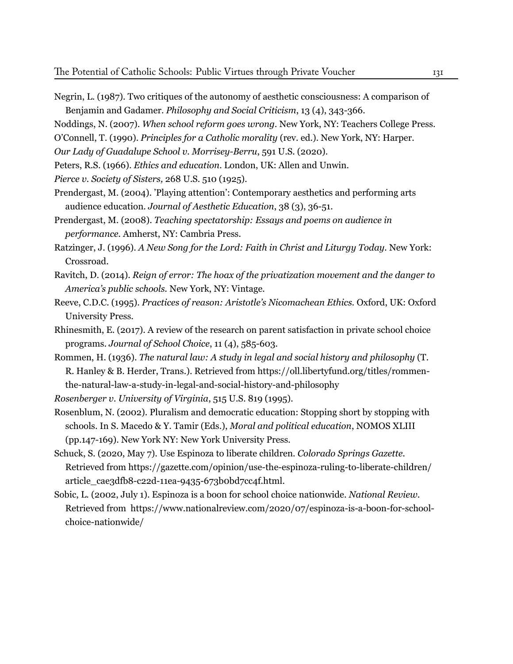- Negrin, L. (1987). Two critiques of the autonomy of aesthetic consciousness: A comparison of Benjamin and Gadamer. *[Philosophy and Social Criticism](https://www.fatherly.com/love-money/private-school-vs-public-school-facts-benefits-statistics/)*, 13 (4), 343-366.
- Noddings, N. (2007). *When school reform goes wrong.* New York, NY: Teachers College Press.
- O'Connell, T. (1990). *Principles for a Catholic morality* (rev. ed.). New York, NY: Harper.
- *Our Lady of Guadalupe School v. Morrisey-Berru*, 591 U.S. (2020).
- Peters, R.S. (1966). *Ethics and education*. London, UK: Allen and Unwin.
- *Pierce v. Society of Sisters,* 268 U.S. 510 (1925).
- Prendergast, M. (2004). 'Playing attention': Contemporary aesthetics and performing arts audience education. *Journal of Aesthetic Education*, 38 (3), 36-51.
- Prendergast, M. (2008). *Teaching spectatorship: Essays and poems on audience in performance.* Amherst, NY: Cambria Press.
- Ratzinger, J. (1996). *[A New Song for the Lord: Faith in Christ and Liturgy Today.](https://www.aacu.org/publications-research/periodicals/democracy-leadership-and-role-liberal-education)* New York: Crossroad.
- Ravitch, D. (2014). *Reign of error: The hoax of the privatization movement and the danger to America's public schools.* New York, NY: Vintage.
- Reeve, C.D.C. (1995). *Practices of reason: Aristotle's Nicomachean Ethics.* Oxford, UK: Oxford University Press.
- Rhinesmith, E. (2017). A review of the research on parent satisfaction in private school choice programs. *[Journal of School Choice](https://oll.libertyfund.org/titles/rommen-the-natural-law-a-study-in-legal-and-social-history-and-philosophy)*, 11 (4), 585-603.
- Rommen, H. (1936). *The natural law: A study in legal and social history and philosophy* (T. R. [Hanley & B. Herder, Trans.\). Retrieved from https://oll.libertyfund.org/titles/rommen](https://oll.libertyfund.org/titles/rommen-the-natural-law-a-study-in-legal-and-social-history-and-philosophy)t[he-natural-law-a-study-in-legal-and-social-history-and-philosophy](https://oll.libertyfund.org/titles/rommen-the-natural-law-a-study-in-legal-and-social-history-and-philosophy)
- *Rosenberger v. University of Virginia*, 515 U.S. 819 (1995).
- [Rosenblum, N. \(2002\). Pluralism and democratic education: Stopping short by stopping with](https://educationresearchalliancenola.org/files/publications/ERA-Policy-Brief-Public-Private-School-Choice-160218.pdf)   [schools. In S. Macedo & Y.](https://educationresearchalliancenola.org/files/publications/ERA-Policy-Brief-Public-Private-School-Choice-160218.pdf) Tamir (Eds.), *Moral and political education*, NOMOS XLIII (pp.147-169). New York NY: New York University Press.
- Schuck, S. (2020, May 7). Use Espinoza to liberate children. *Colorado Springs Gazette.*  [Retrieved from https://gazette.com/opinion/use-the-espinoza-ruling-to-liberate-children/](https://www.educationdive.com/news/supreme-court-to-hear-case-educators-worry-could-destabilize-public-school/570745/) article\_cae3dfb8-c22d-11ea-9435-673b0bd7cc4f.html.
- Sobic, L. (2002, July 1). Espinoza is a boon for school choice nationwide. *National Review.*   [Retrieved from https://www.nationalreview.com/2020/07/espinoza-is-a-boon-for-school](https://www.nationalreview.com/2020/07/espinoza-is-a-boon-for-school-choice-nationwide/) cho[ice-nationwide/](https://www.nationalreview.com/2020/07/espinoza-is-a-boon-for-school-choice-nationwide/)